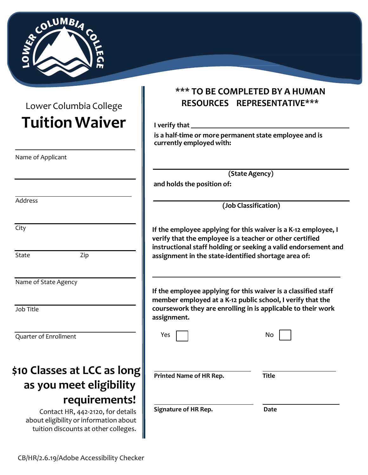

 Lower Columbia College **Tuition Waiver** 

| Name of Applicant           |  |  |
|-----------------------------|--|--|
|                             |  |  |
|                             |  |  |
|                             |  |  |
|                             |  |  |
| Address                     |  |  |
|                             |  |  |
|                             |  |  |
| City                        |  |  |
|                             |  |  |
|                             |  |  |
| State<br>Zip                |  |  |
|                             |  |  |
|                             |  |  |
| Name of State Agency        |  |  |
|                             |  |  |
|                             |  |  |
| Job Title                   |  |  |
|                             |  |  |
|                             |  |  |
| Quarter of Enrollment       |  |  |
|                             |  |  |
|                             |  |  |
|                             |  |  |
| \$10 Classes at LCC as long |  |  |
| as you meet eligibility     |  |  |
|                             |  |  |
| requirements!               |  |  |

 Contact HR, 442-2120, for details about eligibility or information about tuition discounts at other colleges.

# **\*\*\* TO BE COMPLETED BY A HUMAN RESOURCES REPRESENTATIVE\*\*\***

 **I verify that** 

 **is a half-time or more permanent state employee and is currently employed with:** 

 **(State Agency)** 

 **and holds the position of:** 

**(Job Classification)** 

**If the employee applying for this waiver is a K-12 employee, I verify that the employee is a teacher or other certified instructional staff holding or seeking a valid endorsement and assignment in the state-identified shortage area of:** 

**If the employee applying for this waiver is a classified staff member employed at a K-12 public school, I verify that the coursework they are enrolling in is applicable to their work assignment.** 

| Yes                         | No           |
|-----------------------------|--------------|
| Printed Name of HR Rep.     | <b>Title</b> |
| <b>Signature of HR Rep.</b> | <b>Date</b>  |